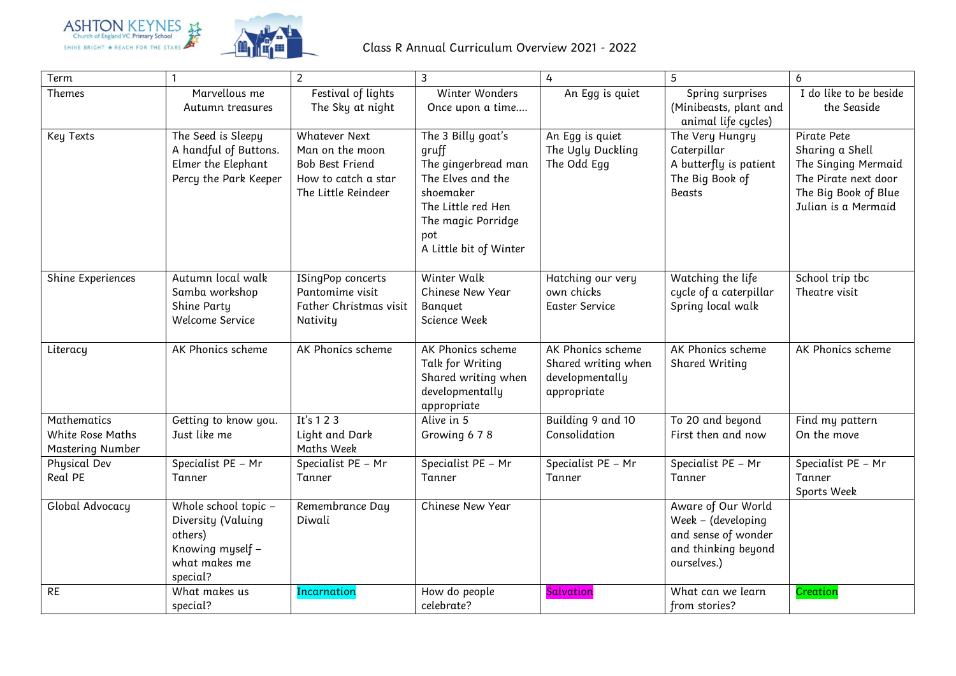



| Term                                                              | $\mathbf{1}$                                                                                           | $\overline{2}$                                                                                                  | $\overline{3}$                                                                                                                                                    | 4                                                                          | 5                                                                                                     | 6                                                                                                                            |
|-------------------------------------------------------------------|--------------------------------------------------------------------------------------------------------|-----------------------------------------------------------------------------------------------------------------|-------------------------------------------------------------------------------------------------------------------------------------------------------------------|----------------------------------------------------------------------------|-------------------------------------------------------------------------------------------------------|------------------------------------------------------------------------------------------------------------------------------|
| Themes                                                            | Marvellous me<br>Autumn treasures                                                                      | Festival of lights<br>The Sky at night                                                                          | Winter Wonders<br>Once upon a time                                                                                                                                | An Egg is quiet                                                            | Spring surprises<br>(Minibeasts, plant and<br>animal life cycles)                                     | I do like to be beside<br>the Seaside                                                                                        |
| Key Texts                                                         | The Seed is Sleepy<br>A handful of Buttons.<br>Elmer the Elephant<br>Percy the Park Keeper             | <b>Whatever Next</b><br>Man on the moon<br><b>Bob Best Friend</b><br>How to catch a star<br>The Little Reindeer | The 3 Billy goat's<br>gruff<br>The gingerbread man<br>The Elves and the<br>shoemaker<br>The Little red Hen<br>The magic Porridge<br>pot<br>A Little bit of Winter | An Egg is quiet<br>The Ugly Duckling<br>The Odd Egg                        | The Very Hungry<br>Caterpillar<br>A butterfly is patient<br>The Big Book of<br>Beasts                 | Pirate Pete<br>Sharing a Shell<br>The Singing Mermaid<br>The Pirate next door<br>The Big Book of Blue<br>Julian is a Mermaid |
| Shine Experiences                                                 | Autumn local walk<br>Samba workshop<br>Shine Party<br>Welcome Service                                  | ISingPop concerts<br>Pantomime visit<br>Father Christmas visit<br>Nativity                                      | Winter Walk<br><b>Chinese New Year</b><br>Banquet<br>Science Week                                                                                                 | Hatching our very<br>own chicks<br>Easter Service                          | Watching the life<br>cycle of a caterpillar<br>Spring local walk                                      | School trip tbc<br>Theatre visit                                                                                             |
| Literacy                                                          | AK Phonics scheme                                                                                      | AK Phonics scheme                                                                                               | AK Phonics scheme<br>Talk for Writing<br>Shared writing when<br>developmentally<br>appropriate                                                                    | AK Phonics scheme<br>Shared writing when<br>developmentally<br>appropriate | AK Phonics scheme<br>Shared Writing                                                                   | AK Phonics scheme                                                                                                            |
| <b>Mathematics</b><br><b>White Rose Maths</b><br>Mastering Number | Getting to know you.<br>Just like me                                                                   | It's 123<br>Light and Dark<br>Maths Week                                                                        | Alive in 5<br>Growing 6 7 8                                                                                                                                       | Building 9 and 10<br>Consolidation                                         | To 20 and beyond<br>First then and now                                                                | Find my pattern<br>On the move                                                                                               |
| Physical Dev<br>Real PE                                           | Specialist PE - Mr<br>Tanner                                                                           | Specialist PE - Mr<br>Tanner                                                                                    | Specialist PE - Mr<br>Tanner                                                                                                                                      | Specialist PE - Mr<br>Tanner                                               | Specialist PE - Mr<br>Tanner                                                                          | Specialist PE - Mr<br>Tanner<br>Sports Week                                                                                  |
| Global Advocacy                                                   | Whole school topic -<br>Diversity (Valuing<br>others)<br>Knowing myself -<br>what makes me<br>special? | Remembrance Day<br>Diwali                                                                                       | Chinese New Year                                                                                                                                                  |                                                                            | Aware of Our World<br>Week - (developing<br>and sense of wonder<br>and thinking beyond<br>ourselves.) |                                                                                                                              |
| <b>RE</b>                                                         | What makes us<br>special?                                                                              | Incarnation                                                                                                     | How do people<br>celebrate?                                                                                                                                       | Salvation                                                                  | What can we learn<br>from stories?                                                                    | Creation                                                                                                                     |